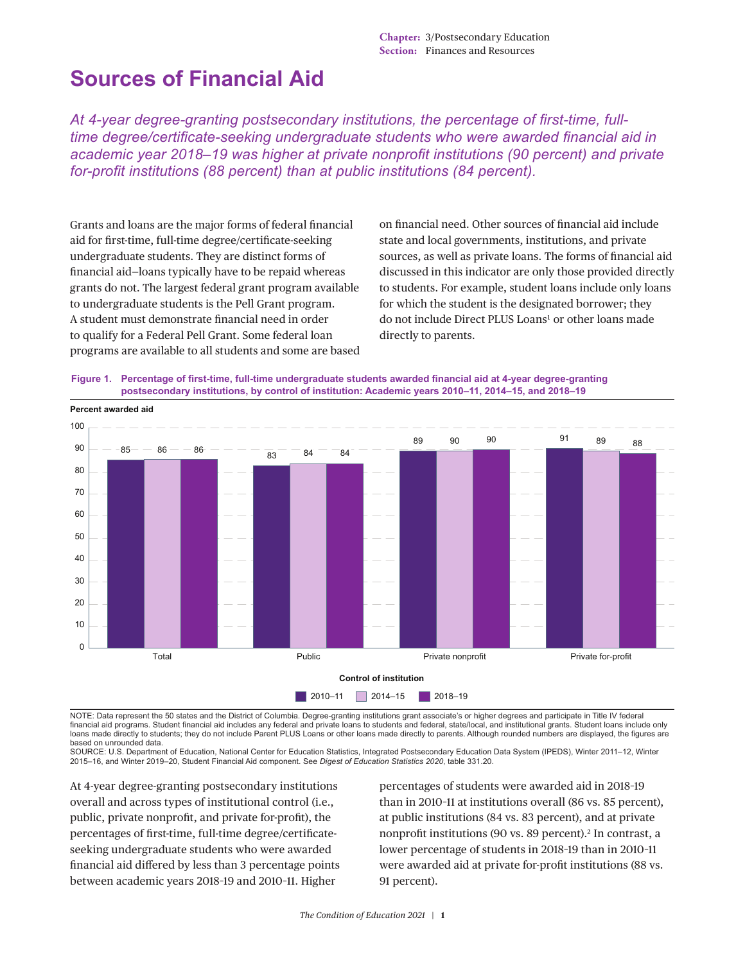**Chapter:** 3/Postsecondary Education **Section:** Finances and Resources

# **Sources of Financial Aid**

*At 4-year degree-granting postsecondary institutions, the percentage of first-time, fulltime degree/certificate-seeking undergraduate students who were awarded financial aid in academic year 2018–19 was higher at private nonprofit institutions (90 percent) and private for-profit institutions (88 percent) than at public institutions (84 percent).*

Grants and loans are the major forms of federal financial aid for first-time, full-time degree/certificate-seeking undergraduate students. They are distinct forms of financial aid—loans typically have to be repaid whereas grants do not. The largest federal grant program available to undergraduate students is the Pell Grant program. A student must demonstrate financial need in order to qualify for a Federal Pell Grant. Some federal loan programs are available to all students and some are based on financial need. Other sources of financial aid include state and local governments, institutions, and private sources, as well as private loans. The forms of financial aid discussed in this indicator are only those provided directly to students. For example, student loans include only loans for which the student is the designated borrower; they do not include Direct PLUS Loans<sup>[1](#page-5-0)</sup> or other loans made directly to parents.

**Figure 1. Percentage of first-time, full-time undergraduate students awarded financial aid at 4-year degree-granting postsecondary institutions, by control of institution: Academic years 2010–11, 2014–15, and 2018–19**



NOTE: Data represent the 50 states and the District of Columbia. Degree-granting institutions grant associate's or higher degrees and participate in Title IV federal financial aid programs. Student financial aid includes any federal and private loans to students and federal, state/local, and institutional grants. Student loans include only loans made directly to students; they do not include Parent PLUS Loans or other loans made directly to parents. Although rounded numbers are displayed, the figures are based on unrounded data.

SOURCE: U.S. Department of Education, National Center for Education Statistics, Integrated Postsecondary Education Data System (IPEDS), Winter 2011–12, Winter 2015–16, and Winter 2019–20, Student Financial Aid component. See *Digest of Education Statistics 2020*, table 331.20.

At 4-year degree-granting postsecondary institutions overall and across types of institutional control (i.e., public, private nonprofit, and private for-profit), the percentages of first-time, full-time degree/certificateseeking undergraduate students who were awarded financial aid differed by less than 3 percentage points between academic years 2018–19 and 2010–11. Higher

percentages of students were awarded aid in 2018–19 than in 2010–11 at institutions overall (86 vs. 85 percent), at public institutions (84 vs. 83 percent), and at private nonprofit institutions (90 vs. 89 percent).<sup>[2](#page-5-1)</sup> In contrast, a lower percentage of students in 2018–19 than in 2010–11 were awarded aid at private for-profit institutions (88 vs. 91 percent).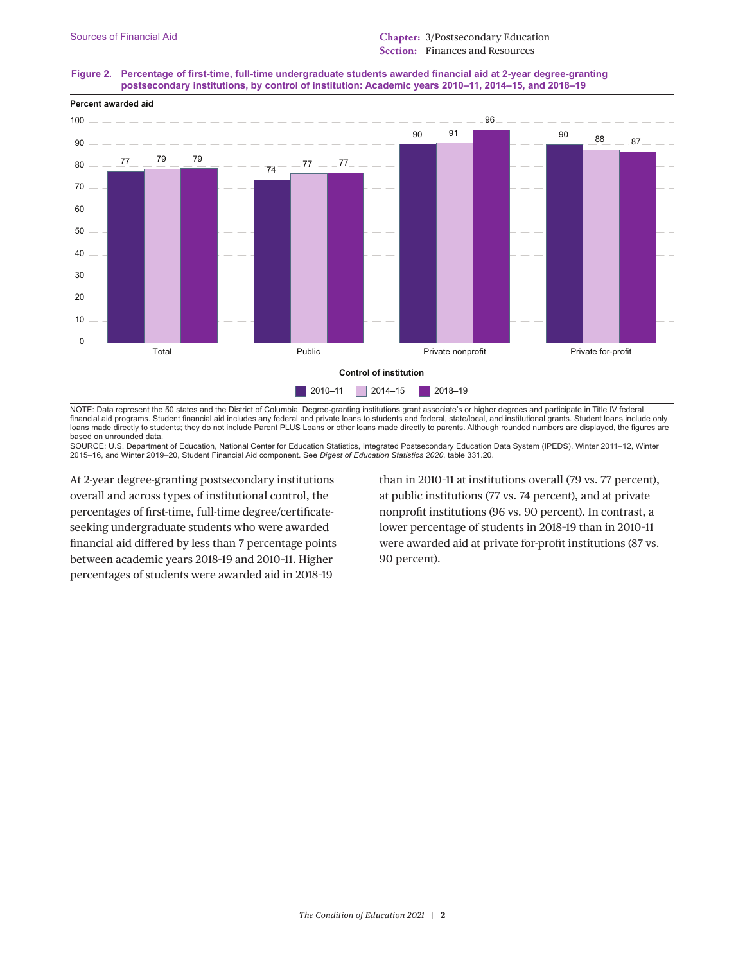



NOTE: Data represent the 50 states and the District of Columbia. Degree-granting institutions grant associate's or higher degrees and participate in Title IV federal financial aid programs. Student financial aid includes any federal and private loans to students and federal, state/local, and institutional grants. Student loans include only loans made directly to students; they do not include Parent PLUS Loans or other loans made directly to parents. Although rounded numbers are displayed, the figures are based on unrounded data.

SOURCE: U.S. Department of Education, National Center for Education Statistics, Integrated Postsecondary Education Data System (IPEDS), Winter 2011–12, Winter 2015–16, and Winter 2019–20, Student Financial Aid component. See *Digest of Education Statistics 2020*, table 331.20.

At 2-year degree-granting postsecondary institutions overall and across types of institutional control, the percentages of first-time, full-time degree/certificateseeking undergraduate students who were awarded financial aid differed by less than 7 percentage points between academic years 2018–19 and 2010–11. Higher percentages of students were awarded aid in 2018–19

than in 2010–11 at institutions overall (79 vs. 77 percent), at public institutions (77 vs. 74 percent), and at private nonprofit institutions (96 vs. 90 percent). In contrast, a lower percentage of students in 2018–19 than in 2010–11 were awarded aid at private for-profit institutions (87 vs. 90 percent).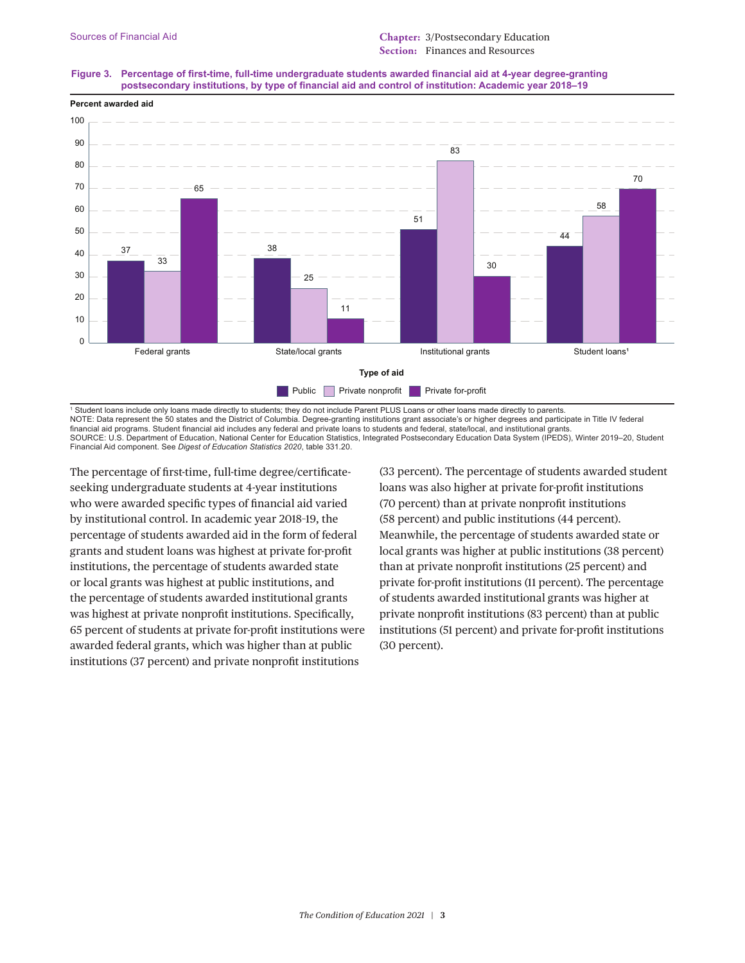## **Figure 3. Percentage of first-time, full-time undergraduate students awarded financial aid at 4-year degree-granting postsecondary institutions, by type of financial aid and control of institution: Academic year 2018–19**



1 Student loans include only loans made directly to students; they do not include Parent PLUS Loans or other loans made directly to parents. NOTE: Data represent the 50 states and the District of Columbia. Degree-granting institutions grant associate's or higher degrees and participate in Title IV federal financial aid programs. Student financial aid includes any federal and private loans to students and federal, state/local, and institutional grants. SOURCE: U.S. Department of Education, National Center for Education Statistics, Integrated Postsecondary Education Data System (IPEDS), Winter 2019–20, Student Financial Aid component. See *Digest of Education Statistics 2020*, table 331.20.

The percentage of first-time, full-time degree/certificateseeking undergraduate students at 4-year institutions who were awarded specific types of financial aid varied by institutional control. In academic year 2018–19, the percentage of students awarded aid in the form of federal grants and student loans was highest at private for-profit institutions, the percentage of students awarded state or local grants was highest at public institutions, and the percentage of students awarded institutional grants was highest at private nonprofit institutions. Specifically, 65 percent of students at private for-profit institutions were awarded federal grants, which was higher than at public institutions (37 percent) and private nonprofit institutions

(33 percent). The percentage of students awarded student loans was also higher at private for-profit institutions (70 percent) than at private nonprofit institutions (58 percent) and public institutions (44 percent). Meanwhile, the percentage of students awarded state or local grants was higher at public institutions (38 percent) than at private nonprofit institutions (25 percent) and private for-profit institutions (11 percent). The percentage of students awarded institutional grants was higher at private nonprofit institutions (83 percent) than at public institutions (51 percent) and private for-profit institutions (30 percent).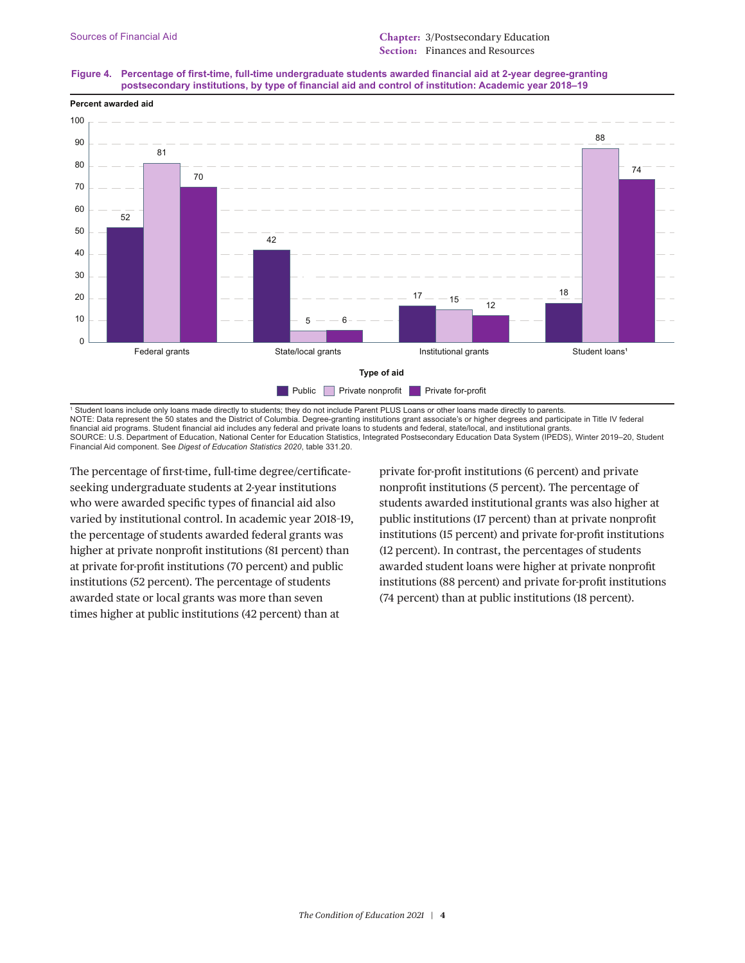## **Figure 4. Percentage of first-time, full-time undergraduate students awarded financial aid at 2-year degree-granting postsecondary institutions, by type of financial aid and control of institution: Academic year 2018–19**



1 Student loans include only loans made directly to students; they do not include Parent PLUS Loans or other loans made directly to parents. NOTE: Data represent the 50 states and the District of Columbia. Degree-granting institutions grant associate's or higher degrees and participate in Title IV federal financial aid programs. Student financial aid includes any federal and private loans to students and federal, state/local, and institutional grants. SOURCE: U.S. Department of Education, National Center for Education Statistics, Integrated Postsecondary Education Data System (IPEDS), Winter 2019–20, Student Financial Aid component. See *Digest of Education Statistics 2020*, table 331.20.

The percentage of first-time, full-time degree/certificateseeking undergraduate students at 2-year institutions who were awarded specific types of financial aid also varied by institutional control. In academic year 2018–19, the percentage of students awarded federal grants was higher at private nonprofit institutions (81 percent) than at private for-profit institutions (70 percent) and public institutions (52 percent). The percentage of students awarded state or local grants was more than seven times higher at public institutions (42 percent) than at

private for-profit institutions (6 percent) and private nonprofit institutions (5 percent). The percentage of students awarded institutional grants was also higher at public institutions (17 percent) than at private nonprofit institutions (15 percent) and private for-profit institutions (12 percent). In contrast, the percentages of students awarded student loans were higher at private nonprofit institutions (88 percent) and private for-profit institutions (74 percent) than at public institutions (18 percent).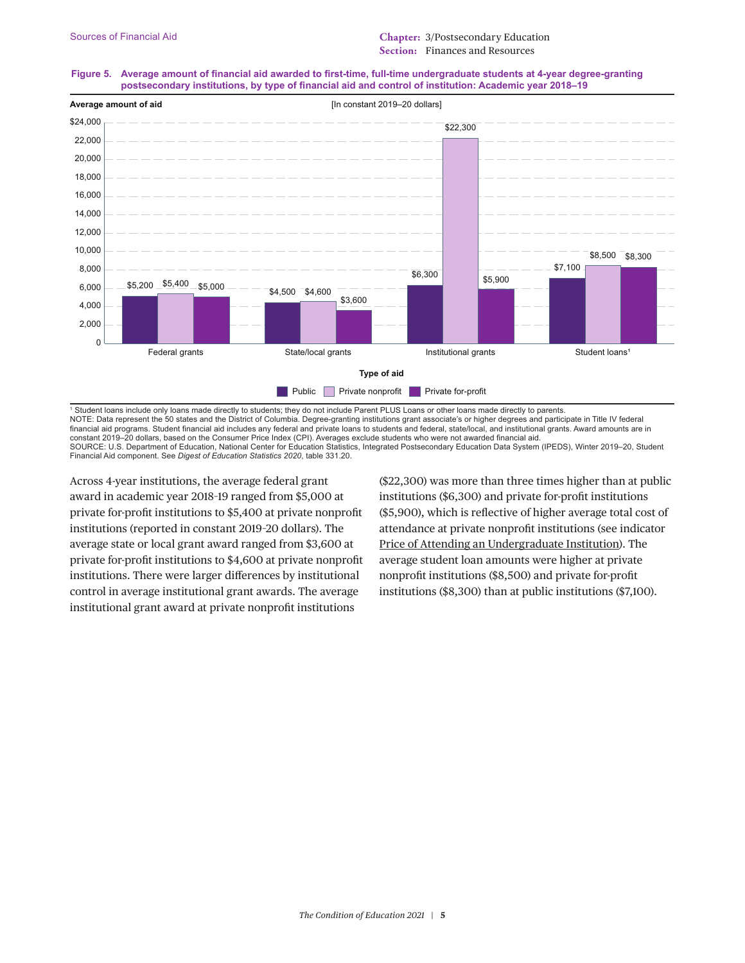### **Figure 5. Average amount of financial aid awarded to first-time, full-time undergraduate students at 4-year degree-granting postsecondary institutions, by type of financial aid and control of institution: Academic year 2018–19**



1 Student loans include only loans made directly to students; they do not include Parent PLUS Loans or other loans made directly to parents. NOTE: Data represent the 50 states and the District of Columbia. Degree-granting institutions grant associate's or higher degrees and participate in Title IV federal financial aid programs. Student financial aid includes any federal and private loans to students and federal, state/local, and institutional grants. Award amounts are in constant 2019–20 dollars, based on the Consumer Price Index (CPI). Averages exclude students who were not awarded financial aid. SOURCE: U.S. Department of Education, National Center for Education Statistics, Integrated Postsecondary Education Data System (IPEDS), Winter 2019-20, Student Financial Aid component. See *Digest of Education Statistics 2020*, table 331.20.

Across 4-year institutions, the average federal grant award in academic year 2018–19 ranged from \$5,000 at private for-profit institutions to \$5,400 at private nonprofit institutions (reported in constant 2019–20 dollars). The average state or local grant award ranged from \$3,600 at private for-profit institutions to \$4,600 at private nonprofit institutions. There were larger differences by institutional control in average institutional grant awards. The average institutional grant award at private nonprofit institutions

(\$22,300) was more than three times higher than at public institutions (\$6,300) and private for-profit institutions (\$5,900), which is reflective of higher average total cost of attendance at private nonprofit institutions (see indicator [Price of Attending an Undergraduate Institution\)](https://nces.ed.gov/programs/coe/indicator_cua.asp). The average student loan amounts were higher at private nonprofit institutions (\$8,500) and private for-profit institutions (\$8,300) than at public institutions (\$7,100).